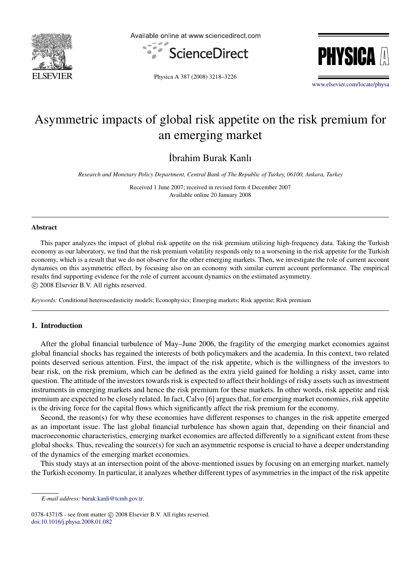

Available online at www.sciencedirect.com





Physica A 387 (2008) 3218–3226

[www.elsevier.com/locate/physa](http://www.elsevier.com/locate/physa)

# Asymmetric impacts of global risk appetite on the risk premium for an emerging market

˙Ibrahim Burak Kanlı

*Research and Monetary Policy Department, Central Bank of The Republic of Turkey, 06100, Ankara, Turkey*

Received 1 June 2007; received in revised form 4 December 2007 Available online 20 January 2008

#### Abstract

This paper analyzes the impact of global risk appetite on the risk premium utilizing high-frequency data. Taking the Turkish economy as our laboratory, we find that the risk premium volatility responds only to a worsening in the risk appetite for the Turkish economy, which is a result that we do not observe for the other emerging markets. Then, we investigate the role of current account dynamics on this asymmetric effect, by focusing also on an economy with similar current account performance. The empirical results find supporting evidence for the role of current account dynamics on the estimated asymmetry. c 2008 Elsevier B.V. All rights reserved.

*Keywords:* Conditional heteroscedasticity models; Econophysics; Emerging markets; Risk appetite; Risk premium

### 1. Introduction

After the global financial turbulence of May–June 2006, the fragility of the emerging market economies against global financial shocks has regained the interests of both policymakers and the academia. In this context, two related points deserved serious attention. First, the impact of the risk appetite, which is the willingness of the investors to bear risk, on the risk premium, which can be defined as the extra yield gained for holding a risky asset, came into question. The attitude of the investors towards risk is expected to affect their holdings of risky assets such as investment instruments in emerging markets and hence the risk premium for these markets. In other words, risk appetite and risk premium are expected to be closely related. In fact, Calvo [\[6\]](#page--1-0) argues that, for emerging market economies, risk appetite is the driving force for the capital flows which significantly affect the risk premium for the economy.

Second, the reason(s) for why these economies have different responses to changes in the risk appetite emerged as an important issue. The last global financial turbulence has shown again that, depending on their financial and macroeconomic characteristics, emerging market economies are affected differently to a significant extent from these global shocks. Thus, revealing the source(s) for such an asymmetric response is crucial to have a deeper understanding of the dynamics of the emerging market economies.

This study stays at an intersection point of the above-mentioned issues by focusing on an emerging market, namely the Turkish economy. In particular, it analyzes whether different types of asymmetries in the impact of the risk appetite

*E-mail address:* [burak.kanli@tcmb.gov.tr.](mailto:burak.kanli@tcmb.gov.tr)

0378-4371/\$ - see front matter © 2008 Elsevier B.V. All rights reserved. [doi:10.1016/j.physa.2008.01.082](http://dx.doi.org/10.1016/j.physa.2008.01.082)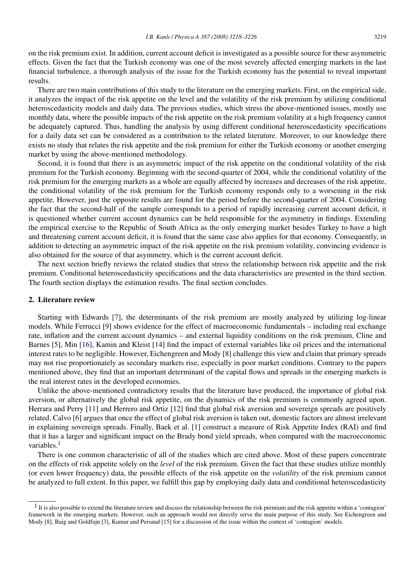on the risk premium exist. In addition, current account deficit is investigated as a possible source for these asymmetric effects. Given the fact that the Turkish economy was one of the most severely affected emerging markets in the last financial turbulence, a thorough analysis of the issue for the Turkish economy has the potential to reveal important results.

There are two main contributions of this study to the literature on the emerging markets. First, on the empirical side, it analyzes the impact of the risk appetite on the level and the volatility of the risk premium by utilizing conditional heteroscedasticity models and daily data. The previous studies, which stress the above-mentioned issues, mostly use monthly data, where the possible impacts of the risk appetite on the risk premium volatility at a high frequency cannot be adequately captured. Thus, handling the analysis by using different conditional heteroscedasticity specifications for a daily data set can be considered as a contribution to the related literature. Moreover, to our knowledge there exists no study that relates the risk appetite and the risk premium for either the Turkish economy or another emerging market by using the above-mentioned methodology.

Second, it is found that there is an asymmetric impact of the risk appetite on the conditional volatility of the risk premium for the Turkish economy. Beginning with the second-quarter of 2004, while the conditional volatility of the risk premium for the emerging markets as a whole are equally affected by increases and decreases of the risk appetite, the conditional volatility of the risk premium for the Turkish economy responds only to a worsening in the risk appetite. However, just the opposite results are found for the period before the second-quarter of 2004. Considering the fact that the second-half of the sample corresponds to a period of rapidly increasing current account deficit, it is questioned whether current account dynamics can be held responsible for the asymmetry in findings. Extending the empirical exercise to the Republic of South Africa as the only emerging market besides Turkey to have a high and threatening current account deficit, it is found that the same case also applies for that economy. Consequently, in addition to detecting an asymmetric impact of the risk appetite on the risk premium volatility, convincing evidence is also obtained for the source of that asymmetry, which is the current account deficit.

The next section briefly reviews the related studies that stress the relationship between risk appetite and the risk premium. Conditional heteroscedasticity specifications and the data characteristics are presented in the third section. The fourth section displays the estimation results. The final section concludes.

### 2. Literature review

Starting with Edwards [\[7\]](#page--1-1), the determinants of the risk premium are mostly analyzed by utilizing log-linear models. While Ferrucci [\[9\]](#page--1-2) shows evidence for the effect of macroeconomic fundamentals – including real exchange rate, inflation and the current account dynamics – and external liquidity conditions on the risk premium, Cline and Barnes [\[5\]](#page--1-3), Min [\[16\]](#page--1-4), Kamin and Kleist [\[14\]](#page--1-5) find the impact of external variables like oil prices and the international interest rates to be negligible. However, Eichengreen and Mody [\[8\]](#page--1-6) challenge this view and claim that primary spreads may not rise proportionately as secondary markets rise, especially in poor market conditions. Contrary to the papers mentioned above, they find that an important determinant of the capital flows and spreads in the emerging markets is the real interest rates in the developed economies.

Unlike the above-mentioned contradictory results that the literature have produced, the importance of global risk aversion, or alternatively the global risk appetite, on the dynamics of the risk premium is commonly agreed upon. Herrara and Perry [\[11\]](#page--1-7) and Herrero and Ortiz [\[12\]](#page--1-8) find that global risk aversion and sovereign spreads are positively related. Calvo [\[6\]](#page--1-0) argues that once the effect of global risk aversion is taken out, domestic factors are almost irrelevant in explaining sovereign spreads. Finally, Baek et al. [\[1\]](#page--1-9) construct a measure of Risk Appetite Index (RAI) and find that it has a larger and significant impact on the Brady bond yield spreads, when compared with the macroeconomic variables.<sup>[1](#page-1-0)</sup>

There is one common characteristic of all of the studies which are cited above. Most of these papers concentrate on the effects of risk appetite solely on the *level* of the risk premium. Given the fact that these studies utilize monthly (or even lower frequency) data, the possible effects of the risk appetite on the *volatility* of the risk premium cannot be analyzed to full extent. In this paper, we fulfill this gap by employing daily data and conditional heteroscedasticity

<span id="page-1-0"></span> $<sup>1</sup>$  It is also possible to extend the literature review and discuss the relationship between the risk premium and the risk appetite within a 'contagion'</sup> framework in the emerging markets. However, such an approach would not directly serve the main purpose of this study. See Eichengreen and Mody [\[8\]](#page--1-6), Baig and Goldfajn [\[3\]](#page--1-10), Kumar and Persaud [\[15\]](#page--1-11) for a discussion of the issue within the context of 'contagion' models.